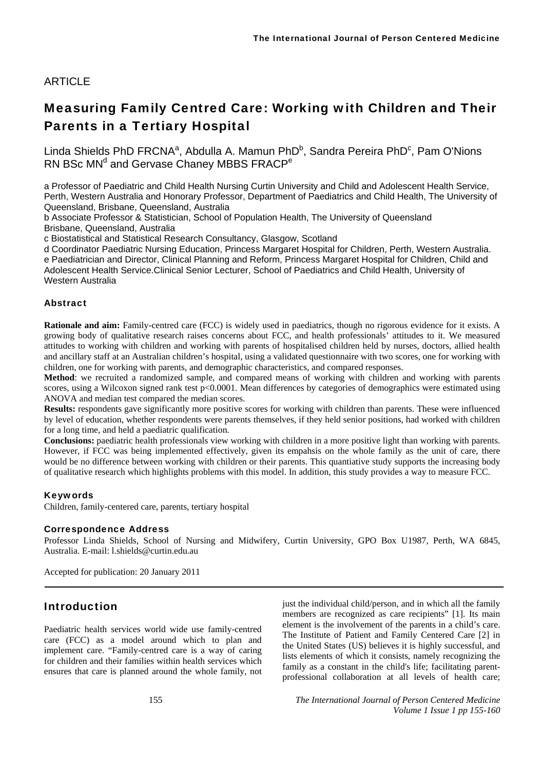# ARTICLE

# Measuring Family Centred Care: Working with Children and Their Parents in a Tertiary Hospital

Linda Shields PhD FRCNA<sup>a</sup>, Abdulla A. Mamun PhD<sup>b</sup>, Sandra Pereira PhD<sup>c</sup>, Pam O'Nions RN BSc MN<sup>d</sup> and Gervase Chaney MBBS FRACP<sup>e</sup>

a Professor of Paediatric and Child Health Nursing Curtin University and Child and Adolescent Health Service, Perth, Western Australia and Honorary Professor, Department of Paediatrics and Child Health, The University of Queensland, Brisbane, Queensland, Australia

b Associate Professor & Statistician, School of Population Health, The University of Queensland Brisbane, Queensland, Australia

c Biostatistical and Statistical Research Consultancy, Glasgow, Scotland

d Coordinator Paediatric Nursing Education, Princess Margaret Hospital for Children, Perth, Western Australia. e Paediatrician and Director, Clinical Planning and Reform, Princess Margaret Hospital for Children, Child and Adolescent Health Service.Clinical Senior Lecturer, School of Paediatrics and Child Health, University of Western Australia

### Abstract

**Rationale and aim:** Family-centred care (FCC) is widely used in paediatrics, though no rigorous evidence for it exists. A growing body of qualitative research raises concerns about FCC, and health professionals' attitudes to it. We measured attitudes to working with children and working with parents of hospitalised children held by nurses, doctors, allied health and ancillary staff at an Australian children's hospital, using a validated questionnaire with two scores, one for working with children, one for working with parents, and demographic characteristics, and compared responses.

**Method**: we recruited a randomized sample, and compared means of working with children and working with parents scores, using a Wilcoxon signed rank test p<0.0001. Mean differences by categories of demographics were estimated using ANOVA and median test compared the median scores.

**Results:** respondents gave significantly more positive scores for working with children than parents. These were influenced by level of education, whether respondents were parents themselves, if they held senior positions, had worked with children for a long time, and held a paediatric qualification.

**Conclusions:** paediatric health professionals view working with children in a more positive light than working with parents. However, if FCC was being implemented effectively, given its empahsis on the whole family as the unit of care, there would be no difference between working with children or their parents. This quantiative study supports the increasing body of qualitative research which highlights problems with this model. In addition, this study provides a way to measure FCC.

#### Keywords

Children, family-centered care, parents, tertiary hospital

#### Correspondence Address

Professor Linda Shields, School of Nursing and Midwifery, Curtin University, GPO Box U1987, Perth, WA 6845, Australia. E-mail: l.shields@curtin.edu.au

Accepted for publication: 20 January 2011

# Introduction

Paediatric health services world wide use family-centred care (FCC) as a model around which to plan and implement care. "Family-centred care is a way of caring for children and their families within health services which ensures that care is planned around the whole family, not

just the individual child/person, and in which all the family members are recognized as care recipients" [1]. Its main element is the involvement of the parents in a child's care. The Institute of Patient and Family Centered Care [2] in the United States (US) believes it is highly successful, and lists elements of which it consists, namely recognizing the family as a constant in the child's life; facilitating parentprofessional collaboration at all levels of health care;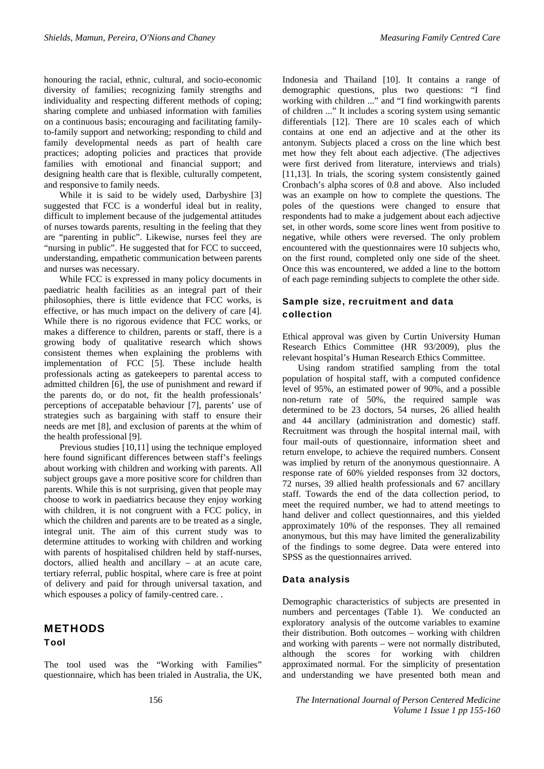honouring the racial, ethnic, cultural, and socio-economic diversity of families; recognizing family strengths and individuality and respecting different methods of coping; sharing complete and unbiased information with families on a continuous basis; encouraging and facilitating familyto-family support and networking; responding to child and family developmental needs as part of health care practices; adopting policies and practices that provide families with emotional and financial support; and designing health care that is flexible, culturally competent, and responsive to family needs.

While it is said to be widely used, Darbyshire [3] suggested that FCC is a wonderful ideal but in reality, difficult to implement because of the judgemental attitudes of nurses towards parents, resulting in the feeling that they are "parenting in public". Likewise, nurses feel they are "nursing in public". He suggested that for FCC to succeed, understanding, empathetic communication between parents and nurses was necessary.

While FCC is expressed in many policy documents in paediatric health facilities as an integral part of their philosophies, there is little evidence that FCC works, is effective, or has much impact on the delivery of care [4]. While there is no rigorous evidence that FCC works, or makes a difference to children, parents or staff, there is a growing body of qualitative research which shows consistent themes when explaining the problems with implementation of FCC [5]. These include health professionals acting as gatekeepers to parental access to admitted children [6], the use of punishment and reward if the parents do, or do not, fit the health professionals' perceptions of accepatable behaviour [7], parents' use of strategies such as bargaining with staff to ensure their needs are met [8], and exclusion of parents at the whim of the health professional [9].

Previous studies [10,11] using the technique employed here found significant differences between staff's feelings about working with children and working with parents. All subject groups gave a more positive score for children than parents. While this is not surprising, given that people may choose to work in paediatrics because they enjoy working with children, it is not congruent with a FCC policy, in which the children and parents are to be treated as a single, integral unit. The aim of this current study was to determine attitudes to working with children and working with parents of hospitalised children held by staff-nurses, doctors, allied health and ancillary – at an acute care, tertiary referral, public hospital, where care is free at point of delivery and paid for through universal taxation, and which espouses a policy of family-centred care...

# **METHODS** Tool

The tool used was the "Working with Families" questionnaire, which has been trialed in Australia, the UK, Indonesia and Thailand [10]. It contains a range of demographic questions, plus two questions: "I find working with children ..." and "I find workingwith parents of children ..." It includes a scoring system using semantic differentials [12]. There are 10 scales each of which contains at one end an adjective and at the other its antonym. Subjects placed a cross on the line which best met how they felt about each adjective. (The adjectives were first derived from literature, interviews and trials) [11,13]. In trials, the scoring system consistently gained Cronbach's alpha scores of 0.8 and above. Also included was an example on how to complete the questions. The poles of the questions were changed to ensure that respondents had to make a judgement about each adjective set, in other words, some score lines went from positive to negative, while others were reversed. The only problem encountered with the questionnaires were 10 subjects who, on the first round, completed only one side of the sheet. Once this was encountered, we added a line to the bottom of each page reminding subjects to complete the other side.

### Sample size, recruitment and data collection

Ethical approval was given by Curtin University Human Research Ethics Committee (HR 93/2009), plus the relevant hospital's Human Research Ethics Committee.

Using random stratified sampling from the total population of hospital staff, with a computed confidence level of 95%, an estimated power of 90%, and a possible non-return rate of 50%, the required sample was determined to be 23 doctors, 54 nurses, 26 allied health and 44 ancillary (administration and domestic) staff. Recruitment was through the hospital internal mail, with four mail-outs of questionnaire, information sheet and return envelope, to achieve the required numbers. Consent was implied by return of the anonymous questionnaire. A response rate of 60% yielded responses from 32 doctors, 72 nurses, 39 allied health professionals and 67 ancillary staff. Towards the end of the data collection period, to meet the required number, we had to attend meetings to hand deliver and collect questionnaires, and this yielded approximately 10% of the responses. They all remained anonymous, but this may have limited the generalizability of the findings to some degree. Data were entered into SPSS as the questionnaires arrived.

#### Data analysis

Demographic characteristics of subjects are presented in numbers and percentages (Table 1). We conducted an exploratory analysis of the outcome variables to examine their distribution. Both outcomes – working with children and working with parents – were not normally distributed, although the scores for working with children approximated normal. For the simplicity of presentation and understanding we have presented both mean and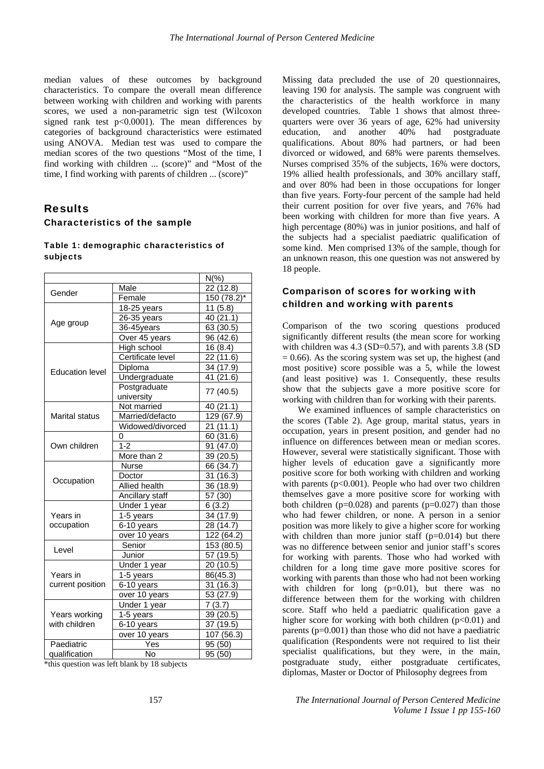median values of these outcomes by background characteristics. To compare the overall mean difference between working with children and working with parents scores, we used a non-parametric sign test (Wilcoxon signed rank test  $p<0.0001$ . The mean differences by categories of background characteristics were estimated using ANOVA. Median test was used to compare the median scores of the two questions "Most of the time, I find working with children ... (score)" and "Most of the time, I find working with parents of children ... (score)"

### Results

#### Characteristics of the sample

#### Table 1: demographic characteristics of subjects

|                              | $N(\%)$                    |                         |  |
|------------------------------|----------------------------|-------------------------|--|
| Gender                       | Male                       | 22(12.8)                |  |
|                              | Female                     | $150(78.2)^{*}$         |  |
|                              | $18-25$ years              | 11(5.8)                 |  |
|                              | 26-35 years                | 40 (21.1)               |  |
| Age group                    | 36-45years                 | 63 (30.5)               |  |
|                              | Over 45 years              | 96 (42.6)               |  |
| <b>Education level</b>       | High school                | 16(8.4)                 |  |
|                              | Certificate level          | 22 (11.6)               |  |
|                              | Diploma                    | 34 (17.9)               |  |
|                              | Undergraduate              | 41 (21.6)               |  |
|                              | Postgraduate<br>university | 77 (40.5)               |  |
| Marital status               | Not married                | 40 (21.1)               |  |
|                              | Married/defacto            | $\overline{129}$ (67.9) |  |
|                              | Widowed/divorced           | 21(11.1)                |  |
| Own children                 | 0                          | 60 (31.6)               |  |
|                              | $1 - 2$                    | 91 (47.0)               |  |
|                              | More than 2                | 39(20.5)                |  |
|                              | <b>Nurse</b>               | 66 (34.7)               |  |
|                              | Doctor                     | 31 (16.3)               |  |
| Occupation                   | Allied health              | 36 (18.9)               |  |
|                              | Ancillary staff            | 57 (30)                 |  |
|                              | Under 1 year               | 6(3.2)                  |  |
| Years in                     | 1-5 years                  | 34 (17.9)               |  |
| occupation                   | $6-10$ years               | 28(14.7)                |  |
|                              | over 10 years              | $\overline{122(64.2)}$  |  |
|                              | Senior                     | 153 (80.5)              |  |
| Level                        | Junior                     | 57 (19.5)               |  |
| Years in<br>current position | Under 1 year               | 20 (10.5)               |  |
|                              | 1-5 years                  | 86(45.3)                |  |
|                              | 6-10 years                 | 31(16.3)                |  |
|                              | over 10 years              | 53 (27.9)               |  |
|                              | Under 1 year               | 7(3.7)                  |  |
| Years working                | 1-5 years                  | 39 (20.5)               |  |
| with children                | 6-10 years                 | 37 (19.5)               |  |
|                              | over 10 years              | 107 (56.3)              |  |
| Paediatric                   | Yes                        | 95 (50)                 |  |
| qualification                | .<br>No                    | $\frac{1}{95(50)}$      |  |

\*this question was left blank by 18 subjects

Missing data precluded the use of 20 questionnaires, leaving 190 for analysis. The sample was congruent with the characteristics of the health workforce in many developed countries. Table 1 shows that almost threequarters were over 36 years of age, 62% had university education, and another 40% had postgraduate qualifications. About 80% had partners, or had been divorced or widowed, and 68% were parents themselves. Nurses comprised 35% of the subjects, 16% were doctors, 19% allied health professionals, and 30% ancillary staff, and over 80% had been in those occupations for longer than five years. Forty-four percent of the sample had held their current position for over five years, and 76% had been working with children for more than five years. A high percentage (80%) was in junior positions, and half of the subjects had a specialist paediatric qualification of some kind. Men comprised 13% of the sample, though for an unknown reason, this one question was not answered by 18 people.

### Comparison of scores for working with children and working with parents

Comparison of the two scoring questions produced significantly different results (the mean score for working with children was  $4.3$  (SD=0.57), and with parents  $3.8$  (SD  $= 0.66$ ). As the scoring system was set up, the highest (and most positive) score possible was a 5, while the lowest (and least positive) was 1. Consequently, these results show that the subjects gave a more positive score for working with children than for working with their parents.

We examined influences of sample characteristics on the scores (Table 2). Age group, marital status, years in occupation, years in present position, and gender had no influence on differences between mean or median scores. However, several were statistically significant. Those with higher levels of education gave a significantly more positive score for both working with children and working with parents (p<0.001). People who had over two children themselves gave a more positive score for working with both children ( $p=0.028$ ) and parents ( $p=0.027$ ) than those who had fewer children, or none. A person in a senior position was more likely to give a higher score for working with children than more junior staff  $(p=0.014)$  but there was no difference between senior and junior staff's scores for working with parents. Those who had worked with children for a long time gave more positive scores for working with parents than those who had not been working with children for long  $(p=0.01)$ , but there was no difference between them for the working with children score. Staff who held a paediatric qualification gave a higher score for working with both children  $(p<0.01)$  and parents  $(p=0.001)$  than those who did not have a paediatric qualification (Respondents were not required to list their specialist qualifications, but they were, in the main, postgraduate study, either postgraduate certificates, diplomas, Master or Doctor of Philosophy degrees from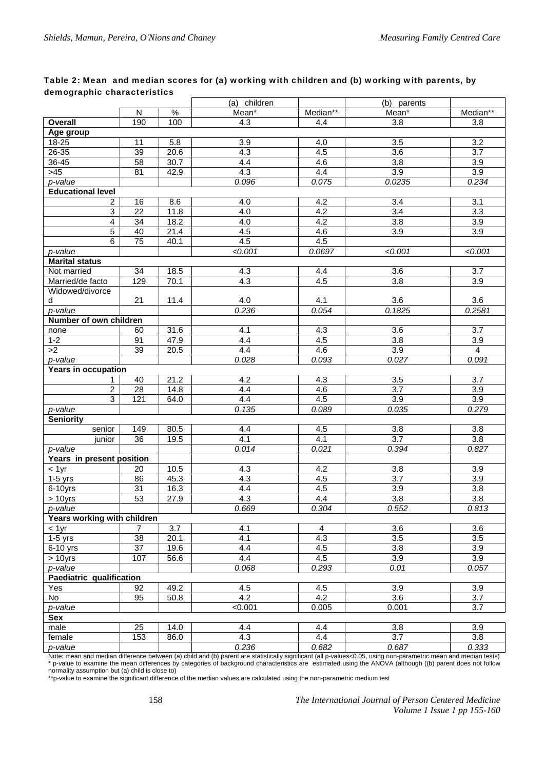### Table 2: Mean and median scores for (a) working with children and (b) working with parents, by demographic characteristics

|                             |                 |                   | (a) children     |          | (b) parents      |                  |  |  |
|-----------------------------|-----------------|-------------------|------------------|----------|------------------|------------------|--|--|
|                             | N               | $\%$              | Mean*            | Median** | Mean*            | Median**         |  |  |
| Overall                     | 190             | 100               | 4.3              | 4.4      | 3.8              | 3.8              |  |  |
| Age group                   |                 |                   |                  |          |                  |                  |  |  |
| 18-25                       | 11              | 5.8               | 3.9              | 4.0      | 3.5              | 3.2              |  |  |
| 26-35                       | 39              | 20.6              | 4.3              | 4.5      | 3.6              | $\overline{3.7}$ |  |  |
| 36-45                       | 58              | $\overline{30.7}$ | 4.4              | 4.6      | 3.8              | 3.9              |  |  |
| $>45$                       | 81              | 42.9              | 4.3              | 4.4      | 3.9              | 3.9              |  |  |
| p-value                     |                 |                   | 0.096            | 0.075    | 0.0235           | 0.234            |  |  |
| <b>Educational level</b>    |                 |                   |                  |          |                  |                  |  |  |
| 2                           | 16              | 8.6               | 4.0              | 4.2      | 3.4              | 3.1              |  |  |
| $\overline{3}$              | $\overline{22}$ | 11.8              | 4.0              | 4.2      | $\overline{3.4}$ | $\overline{3.3}$ |  |  |
| 4                           | 34              | 18.2              | 4.0              | 4.2      | 3.8              | 3.9              |  |  |
| $\overline{5}$              | 40              | 21.4              | 4.5              | 4.6      | 3.9              | 3.9              |  |  |
| $\overline{6}$              | 75              | 40.1              | 4.5              | 4.5      |                  |                  |  |  |
| p-value                     |                 |                   | < 0.001          | 0.0697   | < 0.001          | < 0.001          |  |  |
| <b>Marital status</b>       |                 |                   |                  |          |                  |                  |  |  |
| Not married                 | $\overline{34}$ | 18.5              | $4.\overline{3}$ | 4.4      | 3.6              | 3.7              |  |  |
| Married/de facto            | 129             | 70.1              | 4.3              | 4.5      | 3.8              | 3.9              |  |  |
| Widowed/divorce             |                 |                   |                  |          |                  |                  |  |  |
| d                           | 21              | 11.4              | 4.0              | 4.1      | 3.6              | 3.6              |  |  |
| p-value                     |                 |                   | 0.236            | 0.054    | 0.1825           | 0.2581           |  |  |
| Number of own children      |                 |                   |                  |          |                  |                  |  |  |
| none                        | 60              | 31.6              | 4.1              | 4.3      | 3.6              | 3.7              |  |  |
| $1 - 2$                     | 91              | 47.9              | 4.4              | 4.5      | 3.8              | 3.9              |  |  |
| >2                          | $\overline{39}$ | 20.5              | 4.4              | 4.6      | 3.9              | $\overline{4}$   |  |  |
| p-value                     |                 |                   | 0.028            | 0.093    | 0.027            | 0.091            |  |  |
| <b>Years in occupation</b>  |                 |                   |                  |          |                  |                  |  |  |
| 1                           | 40              | 21.2              | 4.2              | 4.3      | $\overline{3.5}$ | 3.7              |  |  |
| $\overline{2}$              | 28              | 14.8              | 4.4              | 4.6      | 3.7              | 3.9              |  |  |
| $\overline{3}$              | 121             | 64.0              | 4.4              | 4.5      | 3.9              | 3.9              |  |  |
| p-value                     |                 |                   | 0.135            | 0.089    | 0.035            | 0.279            |  |  |
| <b>Seniority</b>            |                 |                   |                  |          |                  |                  |  |  |
| senior                      | 149             | 80.5              | 4.4              | 4.5      | 3.8              | 3.8              |  |  |
| junior                      | $\overline{36}$ | 19.5              | 4.1              | 4.1      | $\overline{3.7}$ | 3.8              |  |  |
| p-value                     |                 |                   | 0.014            | 0.021    | 0.394            | 0.827            |  |  |
| Years in present position   |                 |                   |                  |          |                  |                  |  |  |
| $< 1$ yr                    | 20              | 10.5              | 4.3              | 4.2      | 3.8              | 3.9              |  |  |
| $1-5$ yrs                   | 86              | 45.3              | 4.3              | 4.5      | 3.7              | 3.9              |  |  |
| $6-10$ yrs                  | 31              | 16.3              | 4.4              | 4.5      | 3.9              | 3.8              |  |  |
| $> 10$ yrs                  | $\overline{53}$ | 27.9              | 4.3              | 4.4      | $\overline{3.8}$ | $\overline{3.8}$ |  |  |
| p-value                     |                 |                   | 0.669            | 0.304    | 0.552            | 0.813            |  |  |
| Years working with children |                 |                   |                  |          |                  |                  |  |  |
| $< 1$ yr                    | 7               | 3.7               | 4.1              | 4        | 3.6              | 3.6              |  |  |
| $1-5$ yrs                   | 38              | 20.1              | 4.1              | 4.3      | 3.5              | 3.5              |  |  |
| $6-10$ yrs                  | $\overline{37}$ | 19.6              | 4.4              | 4.5      | $\overline{3.8}$ | $\overline{3.9}$ |  |  |
| $> 10$ yrs                  | 107             | 56.6              | 4.4              | 4.5      | 3.9              | 3.9              |  |  |
| p-value                     |                 |                   | 0.068            | 0.293    | 0.01             | 0.057            |  |  |
| Paediatric qualification    |                 |                   |                  |          |                  |                  |  |  |
| Yes                         | 92              | 49.2              | 4.5              | 4.5      | 3.9              | 3.9              |  |  |
| No                          | 95              | 50.8              | 4.2              | 4.2      | 3.6              | 3.7              |  |  |
| p-value                     |                 |                   | < 0.001          | 0.005    | 0.001            | 3.7              |  |  |
| Sex                         |                 |                   |                  |          |                  |                  |  |  |
| male                        | 25              | 14.0              | 4.4              | 4.4      | 3.8              | 3.9              |  |  |
| female                      | 153             | 86.0              | 4.3              | 4.4      | 3.7              | 3.8              |  |  |
| p-value                     |                 |                   | 0.236            | 0.682    | 0.687            | 0.333            |  |  |

Note: mean and median difference between (a) child and (b) parent are statistically significant (all p-values<0.05, using non-parametric mean and median tests) \* p-value to examine the mean differences by categories of background characteristics are estimated using the ANOVA (although ((b) parent does not follow normality assumption but (a) child is close to)

\*\*p-value to examine the significant difference of the median values are calculated using the non-parametric medium test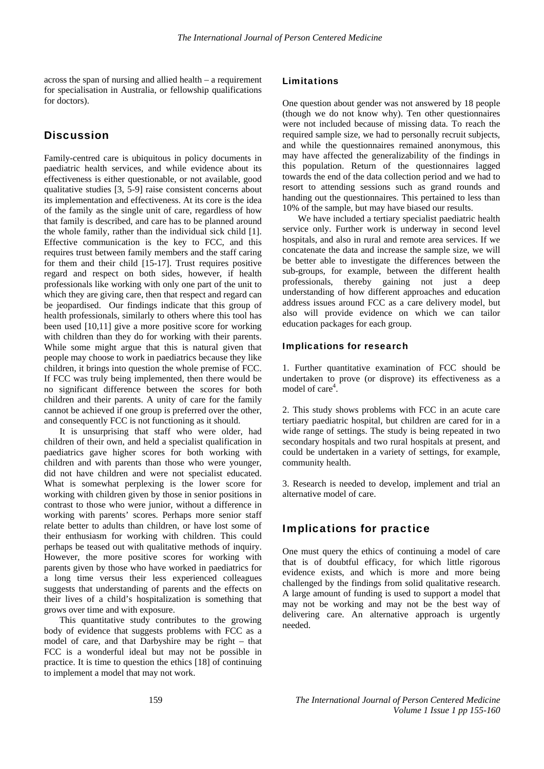across the span of nursing and allied health – a requirement for specialisation in Australia, or fellowship qualifications for doctors).

# **Discussion**

Family-centred care is ubiquitous in policy documents in paediatric health services, and while evidence about its effectiveness is either questionable, or not available, good qualitative studies [3, 5-9] raise consistent concerns about its implementation and effectiveness. At its core is the idea of the family as the single unit of care, regardless of how that family is described, and care has to be planned around the whole family, rather than the individual sick child [1]. Effective communication is the key to FCC, and this requires trust between family members and the staff caring for them and their child [15-17]. Trust requires positive regard and respect on both sides, however, if health professionals like working with only one part of the unit to which they are giving care, then that respect and regard can be jeopardised. Our findings indicate that this group of health professionals, similarly to others where this tool has been used [10,11] give a more positive score for working with children than they do for working with their parents. While some might argue that this is natural given that people may choose to work in paediatrics because they like children, it brings into question the whole premise of FCC. If FCC was truly being implemented, then there would be no significant difference between the scores for both children and their parents. A unity of care for the family cannot be achieved if one group is preferred over the other, and consequently FCC is not functioning as it should.

It is unsurprising that staff who were older, had children of their own, and held a specialist qualification in paediatrics gave higher scores for both working with children and with parents than those who were younger, did not have children and were not specialist educated. What is somewhat perplexing is the lower score for working with children given by those in senior positions in contrast to those who were junior, without a difference in working with parents' scores. Perhaps more senior staff relate better to adults than children, or have lost some of their enthusiasm for working with children. This could perhaps be teased out with qualitative methods of inquiry. However, the more positive scores for working with parents given by those who have worked in paediatrics for a long time versus their less experienced colleagues suggests that understanding of parents and the effects on their lives of a child's hospitalization is something that grows over time and with exposure.

This quantitative study contributes to the growing body of evidence that suggests problems with FCC as a model of care, and that Darbyshire may be right – that FCC is a wonderful ideal but may not be possible in practice. It is time to question the ethics [18] of continuing to implement a model that may not work.

#### Limitations

One question about gender was not answered by 18 people (though we do not know why). Ten other questionnaires were not included because of missing data. To reach the required sample size, we had to personally recruit subjects, and while the questionnaires remained anonymous, this may have affected the generalizability of the findings in this population. Return of the questionnaires lagged towards the end of the data collection period and we had to resort to attending sessions such as grand rounds and handing out the questionnaires. This pertained to less than 10% of the sample, but may have biased our results.

We have included a tertiary specialist paediatric health service only. Further work is underway in second level hospitals, and also in rural and remote area services. If we concatenate the data and increase the sample size, we will be better able to investigate the differences between the sub-groups, for example, between the different health professionals, thereby gaining not just a deep understanding of how different approaches and education address issues around FCC as a care delivery model, but also will provide evidence on which we can tailor education packages for each group.

#### Implications for research

1. Further quantitative examination of FCC should be undertaken to prove (or disprove) its effectiveness as a model of care<sup>4</sup>.

2. This study shows problems with FCC in an acute care tertiary paediatric hospital, but children are cared for in a wide range of settings. The study is being repeated in two secondary hospitals and two rural hospitals at present, and could be undertaken in a variety of settings, for example, community health.

3. Research is needed to develop, implement and trial an alternative model of care.

## Implications for practice

One must query the ethics of continuing a model of care that is of doubtful efficacy, for which little rigorous evidence exists, and which is more and more being challenged by the findings from solid qualitative research. A large amount of funding is used to support a model that may not be working and may not be the best way of delivering care. An alternative approach is urgently needed.